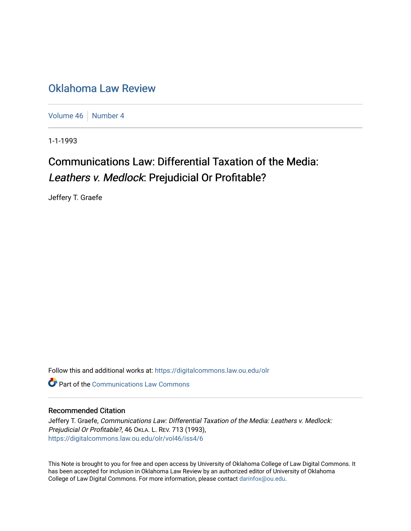## [Oklahoma Law Review](https://digitalcommons.law.ou.edu/olr)

[Volume 46](https://digitalcommons.law.ou.edu/olr/vol46) | [Number 4](https://digitalcommons.law.ou.edu/olr/vol46/iss4)

1-1-1993

# Communications Law: Differential Taxation of the Media: Leathers v. Medlock: Prejudicial Or Profitable?

Jeffery T. Graefe

Follow this and additional works at: [https://digitalcommons.law.ou.edu/olr](https://digitalcommons.law.ou.edu/olr?utm_source=digitalcommons.law.ou.edu%2Folr%2Fvol46%2Fiss4%2F6&utm_medium=PDF&utm_campaign=PDFCoverPages)

**Part of the Communications Law Commons** 

### Recommended Citation

Jeffery T. Graefe, Communications Law: Differential Taxation of the Media: Leathers v. Medlock: Prejudicial Or Profitable?, 46 OKLA. L. REV. 713 (1993), [https://digitalcommons.law.ou.edu/olr/vol46/iss4/6](https://digitalcommons.law.ou.edu/olr/vol46/iss4/6?utm_source=digitalcommons.law.ou.edu%2Folr%2Fvol46%2Fiss4%2F6&utm_medium=PDF&utm_campaign=PDFCoverPages) 

This Note is brought to you for free and open access by University of Oklahoma College of Law Digital Commons. It has been accepted for inclusion in Oklahoma Law Review by an authorized editor of University of Oklahoma College of Law Digital Commons. For more information, please contact [darinfox@ou.edu.](mailto:darinfox@ou.edu)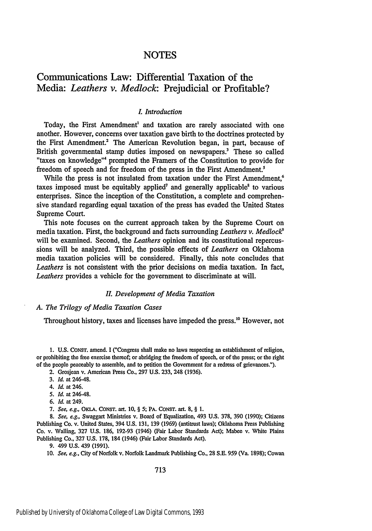## Communications Law: Differential Taxation of the Media: *Leathers v. Medlock:* Prejudicial or Profitable?

#### *I. Introduction*

Today, the First Amendment' and taxation are rarely associated with one another. However, concerns over taxation gave birth to the doctrines protected **by** the First Amendment.' The American Revolution began, in part, because of British governmental stamp duties imposed on newspapers.<sup>3</sup> These so called "taxes on knowledge"<sup>4</sup> prompted the Framers of the Constitution to provide for freedom of speech and for freedom of the press in the First Amendment.5

While the press is not insulated from taxation under the First Amendment,<sup>6</sup> taxes imposed must be equitably applied' and generally applicable' to various enterprises. Since the inception of the Constitution, a complete and comprehensive standard regarding equal taxation of the press has evaded the United States Supreme Court.

This note focuses on the current approach taken **by** the Supreme Court on media taxation. First, the background and facts surrounding *Leathers v. Medlock<sup>9</sup>* **will** be examined. Second, the *Leathers* opinion and its constitutional repercussions will be analyzed. Third, the possible effects of *Leathers* on Oklahoma media taxation policies will be considered. Finally, this note concludes that *Leathers* is not consistent with the prior decisions on media taxation. In fact, *Leathers* provides a vehicle for the government to discriminate at will.

#### *II. Development of Media Taxation*

#### *A. The Trilogy of Media Taxation Cases*

Throughout history, taxes and licenses have impeded the press.<sup>10</sup> However, not

1. **U.S.** CONST. amend. I ("Congress shall make no laws respecting an establishment of religion, or prohibiting the free exercise thereof; or abridging the freedom of speech, or of the press; or the right of the people peaceably to assemble, and to petition the Government for a redress of grievances.").

2. Grosjean v. American Press Co., 297 **U.S.** 233, 248 (1936).

- **4.** *Id.* at 246.
- *5. Id.* at 246-48.
- 6. *Id.* at 249,
- **7.** *See, e.g.,* **OKLA. CONST.** art. **10,** *§* 5; PA. CONST. art. 8, § 1.

8. *See, e.g.,* Swaggart Ministries v. Board of Equalization, 493 U.S. 378, 390 (1990); Citizens Publishing Co. v. United States, 394 U.S. 131, 139 (1969) (antitrust laws); Oklahoma Press Publishing Co. v. Walling, 327 U.S. 186, 192-93 (1946) (Fair Labor Standards Act); Mabee v. White Plains Publishing Co., 327 U.S. 178, 184 (1946) (Fair Labor Standards Act).

9. 499 U.S. 439 (1991).

*10. See, e.g.,* City of Norfolk v. Norfolk Landmark Publishing Co., 28 S.E. 959 (Va. 1898); Cowan

**<sup>3.</sup>** *Id.* at 246-48.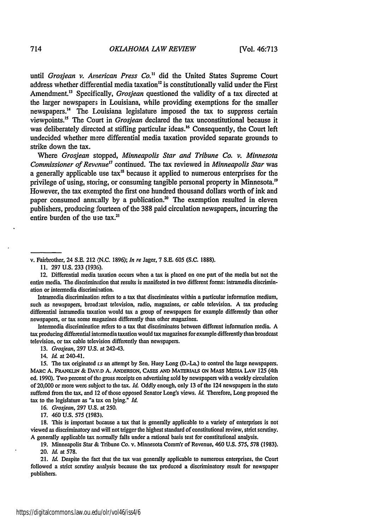until *Grosjean v. American Press Co."* did the United States Supreme Court address whether differential media taxation<sup>12</sup> is constitutionally valid under the First Amendment.<sup>13</sup> Specifically, *Grosiean* questioned the validity of a tax directed at the larger newspaper; in Louisiana, while providing exemptions for the smaller newspapers. <sup>4</sup>**The** Louisiana legislature imposed the tax to suppress certain viewpoints." The Court in *Grosjean* declared the tax unconstitutional because it was deliberately directed at stifling particular ideas.<sup>16</sup> Consequently, the Court left undecided whether mere differential media taxation provided separate grounds to strike down the tax.

Where *Grosjean* stopped, *Minneapolis Star and Tribune Co. v. Minnesota Commissioner of Revenue<sup>17</sup>* continued. The tax reviewed in *Minneapolis Star* was a generally applicable use tax" because it applied to numerous enterprises for the privilege of using, storing, or consuming tangible personal property in Minnesota.<sup>19</sup> However, the tax exempted the first one hundred thousand dollars worth of ink and paper consumed annually by a publication.<sup>20</sup> The exemption resulted in eleven publishers, producing fourteen of the **388** paid circulation newspapers, incurring the entire burden of the use tax.<sup>21</sup>

v. Fairbrother, 24 S.E. 212 (N.C. 1896); *In re* Jager, 7 **S.E.** 605 (S.C. **1888).**

**I1. 297** U.S. **233** (1936).

12. Differential media taxation occurs when a tax is placed on one part of the media but not the entire media. The discrimination that results is manifested in two different forms: intramedia discrimination or intermedia discrimination.

Intramedia discrimination refers to a tax that discriminates within a particular information medium, such as newspapers, broadzast television, radio, magazines, or cable television. A tax producing differential intramedia taxation would tax a group of newspapers for example differently than other newspapers, or tax some magazines differently than other magazines.

Intermedia discrimination refers to a tax that discriminates between different information media. A tax producing differential intermedia taxation would tax magazines for example differently than broadcast television, or tax cable television differently than newspapers.

13. *Grosjean,* **297** U.S. at 242-43.

14. *Id.* at 240-41.

15. The tax originated *ts* an attempt by Sen. Huey Long (D.-La.) to control the large newspapers. MARC **A.** FRANKLIN & **DAVD A. ANDERSON, CASES AND** MATERIALS **ON MASS MEDIA LAW 125** (4th ed. 1990). Two percent of the gross receipts on advertising sold by newspapers with a weekly circulation of 20,000 or more were subject to the tax. *Id.* Oddly enough, only 13 of the 124 newspapers in the state suffered from the tax, and 12 of those opposed Senator Long's views. *Id.* Therefore, Long proposed the tax to the legislature as "a tax on lying." *Id.*

16. *Grosjean,* **297 U.S.** at 250.

17. 460 U.S. **575** (1983).

18. This is important because a tax that is generally applicable to a variety of enterprises is not viewed as discriminatory and will not trigger the highest standard of constitutional review, strict scrutiny. A generally applicable tax normally falls under a rational basis test for constitutional analysis.

19. Minneapolis Star & Tribune Co. v. Minnesota Comm'r of Revenue, 460 U.S. 575, **578** (1983). 20. *Id.* at 578.

21. *Id.* Despite the fact that the tax was generally applicable to numerous enterprises, the Court followed a strict scrutiny analysis because the tax produced a discriminatory result for newspaper publishers.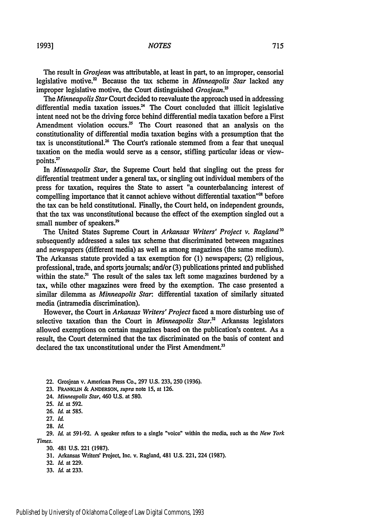**1993]**

The result in *Grosjean* was attributable, at least in part, to an improper, censorial legislative motive." Because the tax scheme in *Minneapolis Star* lacked any improper legislative motive, the Court distinguished *Grosjean.*

*The Minneapolis Star* Court decided to reevaluate the approach used in addressing differential media taxation issues. $24$  The Court concluded that illicit legislative intent need not be the driving force behind differential media taxation before a First Amendment violation occurs.<sup>25</sup> The Court reasoned that an analysis on the constitutionality of differential media taxation begins with a presumption that the tax is unconstitutional.<sup>26</sup> The Court's rationale stemmed from a fear that unequal taxation on the media would serve as a censor, stifling particular ideas or viewpoints.<sup>27</sup>

In *Minneapolis Star,* the Supreme Court held that singling out the press for differential treatment under a general tax, or singling out individual members of the press for taxation, requires the State to assert "a counterbalancing interest of compelling importance that it cannot achieve without differential taxation <sup>28</sup> before the tax can be held constitutional. Finally, the Court held, on independent grounds, that the tax was unconstitutional because the effect of the exemption singled out a small number of speakers.<sup>29</sup>

The United States Supreme Court in *Arkansas Writers' Project v. Ragland"* subsequently addressed a sales tax scheme that discriminated between magazines and newspapers (different media) as well as among magazines (the same medium). The Arkansas statute provided a tax exemption for (1) newspapers; (2) religious, professional, trade, and sports journals; and/or (3) publications printed and published within the state. $31$  The result of the sales tax left some magazines burdened by a tax, while other magazines were freed by the exemption. The case presented a similar dilemma as *Minneapolis Star.* differential taxation of similarly situated media (intramedia discrimination).

However, the Court in *Arkansas Writers' Project* faced a more disturbing use of selective taxation than the Court in *Minneapolis Star.'* Arkansas legislators allowed exemptions on certain magazines based on the publication's content. As a result, the Court determined that the tax discriminated on the basis of content and declared the tax unconstitutional under the First Amendment.<sup>33</sup>

- 22. Grosjean v. American Press Co., 297 U.S. 233, 250 (1936).
- **23. FRANKUN & ANDERSON, supra** note **15,** at **126.**
- 24. *Minneapolis Star,* 460 **U.S.** at **580.**
- **25.** *Id.* at 592.
- **26. Id.** at **585.**
- **27.** *Id.*
- 28. *lid*

29. *IM* at 591-92. **A** speaker refers to a single "voice" within the media, such as the *New York Times.*

- 30. 481 **U.S.** 221 (1987).
- 31. Arkansas Writers' Project, Inc. v. Ragland, 481 U.S. 221, 224 (1987).
- **32.** *Id.* at 229.
- 33. *Id.* at 233.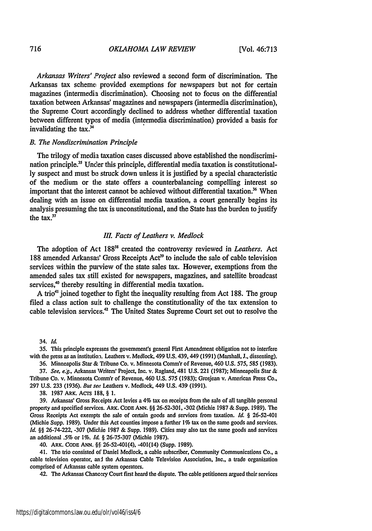*Arkansas Writers' Project* also reviewed a second form of discrimination. The Arkansas tax scheme provided exemptions for newspapers but not for certain magazines (intermedia discrimination). Choosing not to focus on the differential taxation between Arkmsas' magazines and newspapers (intermedia discrimination), the Supreme Court accordingly declined to address whether differential taxation between different types of media (intermedia discrimination) provided a basis for invalidating the  $tax.^{34}$ 

#### *B. The Nondiscrimination Principle*

The trilogy of media taxation cases discussed above established the nondiscrimination principle.<sup>35</sup> Under this principle, differential media taxation is constitutional**ly** suspect and must **be** struck down unless it is justified **by** a special characteristic of the medium or the state offers a counterbalancing compelling interest so important that the interest cannot be achieved without differential taxation.<sup>36</sup> When dealing with an issue on differential media taxation, a court generally begins its analysis presuming the tax is unconstitutional, and the State has the burden to justify the tax. $37$ 

#### *III. Facts of Leathers v. Medlock*

The adoption of Act **18838** created the controversy reviewed in *Leathers.* Act 188 amended Arkansas' Gross Receipts Act<sup>39</sup> to include the sale of cable television services within the purview of the state sales tax. However, exemptions from the amended sales tax still existed for newspapers, magazines, and satellite broadcast services,<sup>40</sup> thereby resulting in differential media taxation.

**A** trio4' joined together to fight the inequality resulting from Act **188.** The group filed a class action suit to challenge the constitutionality of the tax extension to cable television services.<sup>42</sup> The United States Supreme Court set out to resolve the

34. *Id*

**35.** This principle expresses the government's general First Amendment obligation not to interfere with the press as an institution. Leathers v. Medlock, 499 **U.S.** 439, 449 **(1991)** (Marshall, **J.,** dissenting).

**36.** Minneapolis Star **&** Tribune Co. v. Minnesota Comm'r of Revenue, 460 **U.S. 575, 585 (1983).**

**37.** *See, e.g.,* Arkansas Writers' Project, Inc. v. Ragland, 481 **U.S.** 221 **(1987);** Minneapolis Star **&** Tribune Co. v. Minnesota **Comm'r** of Revenue, 460 **U.S. 575 (1983);** Grosjean v. American Press Co., **297 U.S. 233 (1936).** *But see* Leathers v. Medlock, 449 **U.S.** 439 **(1991).**

**38. 1987** ARK. AcTs **188, § 1.**

**39.** Arkansas' Gross Receipts Act levies a 4% tax on receipts from the sale of all tangible personal property and specified services. ARK. **CODE ANN. §§ 26-52-301, -302** (Michie **1987 &** Supp. **1989).** The Gross Receipts Act exempts the sale of certain goods and services from taxation. *Id. §* 26-52-401 (Michie Supp. **1989).** Under this Act counties impose a further **1%** tax on the same goods and services. *Id. §§* 26-74-222, **-307** (Michie **1987 &** Supp. **1989).** Cities may also tax the same goods and services an additional **.5%** or **1%.** *Id.* **§ 26-75-307** (Michie **1987).**

40. **ARK. CODE ANN.** *§ff* 26-52.401(4), -401(14) (Supp. **1989).**

41. The trio consisted of Daniel Medlock, a cable subscriber, Community Communications Co., a cable television operator, anJ the Arkansas Cable Television Association, Inc., **a** trade organization comprised of Arkansas cable system operators.

42. The Arkansas Chancery Court first heard the dispute. The cable petitioners argued their services

716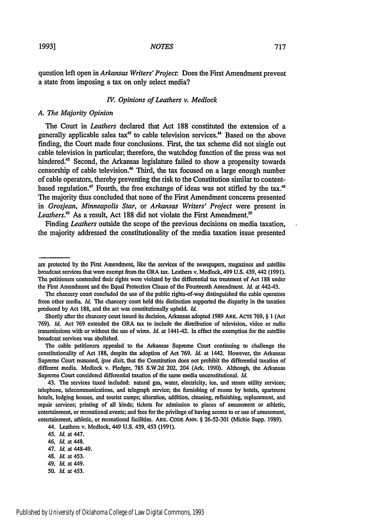question left open in *Arkansas Writers' Project:* Does the First Amendment prevent a state from imposing a tax on only select media?

#### *IV. Opinions of Leathers v. Medlock*

#### *A. The Majority Opinion*

The Court in *Leathers* declared that Act 188 constituted the extension of a generally applicable sales tax<sup>43</sup> to cable television services.<sup>44</sup> Based on the above finding, the Court made four conclusions. First, the tax scheme did not single out cable television in particular; therefore, the watchdog function of the press was not hindered.<sup>45</sup> Second, the Arkansas legislature failed to show a propensity towards censorship of cable television.<sup>46</sup> Third, the tax focused on a large enough number of cable operators, thereby preventing the risk to the Constitution similar to contentbased regulation.<sup>47</sup> Fourth, the free exchange of ideas was not stifled by the tax.<sup>48</sup> The majority thus concluded that none of the First Amendment concerns presented in *Grosjean, Minneapolis Star,* or *Arkansas Writers' Project* were present in Leathers.<sup>49</sup> As a result, Act 188 did not violate the First Amendment.<sup>50</sup>

Finding *Leathers* outside the scope of the previous decisions on media taxation, the majority addressed the constitutionality of the media taxation issue presented

- 46. *Id.* at 448.
- 47. *Id.* at 448-49.
- 48. *Id.* at 453.
- 49. *Id.* at 449.
- **50.** *Id.* at 453.

are protected by the First Amendment, like the services of the newspapers, magazines and satellite broadcast services that were exempt from the GRA tax. Leathers v. Medlock, 499 **U.S.** 439, 442 (1991). The petitioners contended their rights were violated by the differential tax treatment of Act 188 under the First Amendment and the Equal Protection Clause of the Fourteenth Amendment. *Id.* at 442-43.

The chancery court concluded the use of the public rights-of-way distinguished the cable operators from other media. *Id.* The chancery court held this distinction supported the disparity in the taxation produced **by** Act **188,** and the act was constitutionally upheld. *Id.*

Shortly after the chancery court issued its decision, Arkansas adopted 1989 ARK. ACTS 769, § 1 (Act 769). *Id.* Act 769 extended the GRA tax to include the distribution of television, video or radio transmissions with or without the use of wires. *Id.* at 1441-42. In effect the exemption for the satellite broadcast services was abolished.

The cable petitioners appealed to the Arkansas Supreme Court continuing to challenge the constitutionality of Act 188, despite the adoption of Act 769. *Id.* at 1442. However, the Arkansas Supreme Court reasoned, *ipse dixit,* that the Constitution does not prohibit the differential taxation of different media. Medlock v. Pledger, 785 S.W.2d 202, 204 (Ark. 1990). Although, the Arkansas Supreme Court considered differential taxation of the same media unconstitutional. *Id.*

<sup>43.</sup> The services taxed included: natural gas, water, electricity, ice, and steam utility services; telephone, telecommunications, and telegraph service; the furnishing of rooms by hotels, apartment hotels, lodging houses, and tourist camps; alteration, addition, cleaning, refinishing, replacement, and repair services; printing of all kinds; tickets for admission to places of amusement or athletic, entertainment, or recreational events; and fees for the privilege of having access to or use of amusement, entertainment, athletic, or recreational facilities. ARK. CODE **ANN.** § 26-52-301 (Michie Supp. 1989).

<sup>44.</sup> Leathers v. Medlock, 449 **U.S.** 439, 453 (1991).

<sup>45.</sup> *Id.* at 447.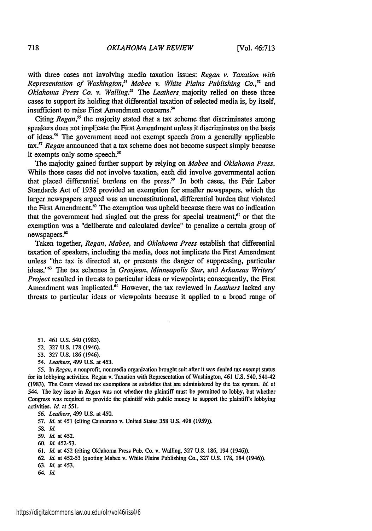with three cases not involving media taxation issues: *Regan v. Taxation with* Representation of Washington,<sup>51</sup> Mabee v. White Plains Publishing Co.,<sup>52</sup> and *Oklahoma Press Co. v. Walling.3 The Leathers* majority relied on these three cases to support its holding that differential taxation of selected media is, by itself, insufficient to raise First Amendment concerns.<sup>54</sup>

Citing *Regan*,<sup>55</sup> the majority stated that a tax scheme that discriminates among speakers does not implicate the First Amendment unless it discriminates on the basis of ideas.56 The government need not exempt speech from a generally applicable tax.<sup>57</sup> Regan announced that a tax scheme does not become suspect simply because it exempts only some speech.<sup>58</sup>

The majority gained further support by relying on *Mabee* and *Oklahoma Press.* While those cases did not involve taxation, each did involve governmental action that placed differential burdens on the press.<sup>59</sup> In both cases, the Fair Labor Standards Act of 1938 provided an exemption for smaller newspapers, which the larger newspapers argued was an unconstitutional, differential burden that violated the First Amendment. $\omega$  The exemption was upheld because there was no indication that the government had singled out the press for special treatment, $61$  or that the exemption was a "deliberate and calculated device" to penalize a certain group of newspapers.<sup>62</sup>

Taken together, *Regan, Mabee,* and *Oklahoma Press* establish that differential taxation of speakers, including the media, does not implicate the First Amendment unless "the tax is directed at, or presents the danger of suppressing, particular ideas."<sup>63</sup> The tax schemes in *Grosjean, Minneapolis Star,* and *Arkansas Writers' Project* resulted in threats to particular ideas or viewpoints; consequently, the First Amendment was implicated.<sup>64</sup> However, the tax reviewed in *Leathers* lacked any threats to particular ideas or viewpoints because it applied to a broad range of

- 51. 461 U.S. 540 (1983).
- 52. 327 U.S. 178 (1946).
- **53.** 327 U.S. 186 (1946).
- 54. *Leathers,* 499 U.S. at 453.

*55.* In *Regan,* a nonprofit, nonmedia organization brought suit after it was denied tax exempt status for its lobbying activities. Regan v. Taxation with Representation of Washington, 461 U.S. 540, 541-42 (1983). The Court viewed tax exemptions as subsidies that are administered by the tax system. *Id.* at 544. The key issue in *Regam* was not whether the plaintiff must be permitted to lobby, but whether Congress was required to provide the plaintiff with public money to support the plaintiffs lobbying activities. *Id.* at 551.

*56. Leathers,* 499 U.S. at 450.

**57.** *Id.* at 451 (citing Cannarano v. United States 358 U.S. 498 **(1959)).**

**58.** *Id.*

**59.** *Id.* at 452.

60. *Id.* **452-53.**

61. *Id.* at 452 (citing Oklahoma Press Pub. Co. v. Walling, 327 U.S. 186, 194 (1946)).

- 62. *Id.* at 452-53 (quoting Mabee v. White Plains Publishing Co., 327 U.S. 178, 184 (1946)).
- 63. *Id.* at 453.
- 64. Id.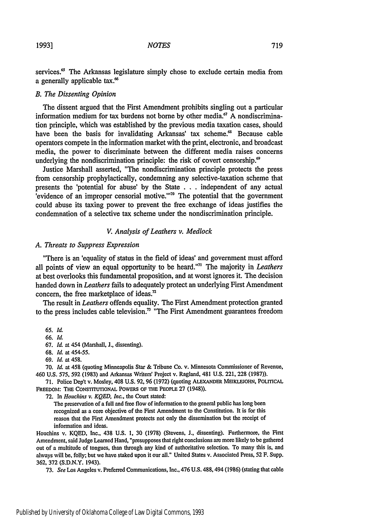services.<sup>65</sup> The Arkansas legislature simply chose to exclude certain media from a generally applicable tax.<sup>66</sup>

#### *B. The Dissenting Opinion*

The dissent argued that the First Amendment prohibits singling out a particular information medium for tax burdens not borne by other media.<sup>67</sup> A nondiscrimination principle, which was established by the previous media taxation cases, should have been the basis for invalidating Arkansas' tax scheme.<sup>68</sup> Because cable operators compete in the information market with the print, electronic, and broadcast media, the power to discriminate between the different media raises concerns underlying the nondiscrimination principle: the risk of covert censorship.<sup>69</sup>

Justice Marshall asserted, "The nondiscrimination principle protects the press from censorship prophylactically, condemning any selective-taxation scheme that presents the 'potential for abuse' by the State . . . independent of any actual evidence of an improper censorial motive."<sup>170</sup> The potential that the government could abuse its taxing power to prevent the free exchange of ideas justifies the condemnation of a selective tax scheme under the nondiscrimination principle.

#### *V. Analysis of Leathers v. Medlock*

#### *A. Threats to Suppress Expression*

"There is an 'equality of status in the field of ideas' and government must afford all points of view an equal opportunity to be heard."<sup>7</sup> ' The majority in *Leathers* at best overlooks this fundamental proposition, and at worst ignores it. The decision handed down in *Leathers* fails to adequately protect an underlying First Amendment concern, the free marketplace of ideas. $<sup>n</sup>$ </sup>

The result in *Leathers* offends equality. The First Amendment protection granted to the press includes cable television.<sup>73</sup> "The First Amendment guarantees freedom

65. *Id.*

66. *Id.*

67. *Id.* at 454 (Marshall, J., dissenting).

- 68. *Id.* at 454-55.
- 69. *Id.* at 458.

**70.** *Id.* at 458 (quoting Minneapolis Star & Tribune Co. v. Minnesota Commissioner of Revenue, 460 **U.S. 575, 592 (1983)** and Arkansas Writers' Project v. Ragland, 481 U.S. 221, 228 (1987)).

**71.** Police Dep't v. Mosley, 408 **U.S. 92, 96 (1972)** (quoting ALEXANDER **MEIKLEJOHN, POLITICAL** FREEDOM: THE CONSTITUTIONAL POWERS **OF THE** PEOPLE 27 (1948)).

**72.** In *Houchins v. KQED, Inc.,* the Court stated:

The preservation of a full and free flow of information to the general public has long been recognized as a core objective of the First Amendment to the Constitution. It is for this reason that the First Amendment protects not only the dissemination but the receipt of information and ideas.

Houchins v. **KQED,** Inc., 438 U.S. 1, 30 (1978) (Stevens, **J.,** dissenting). Furthermore, the First Amendment, said Judge Learned Hand, "presupposes that right conclusions are more likely to be gathered out of a multitude of tongues, than through any kind of authoritative selection. To many this is, and always will be, folly; but we have staked upon it our all." United States v. Associated Press, **52** F. Supp. **362, 372 (S.D.N.Y.** 1943).

**73.** *See* Los Angeles v. Preferred Communications, Inc., 476 U.S. 488,494 (1986) (stating that cable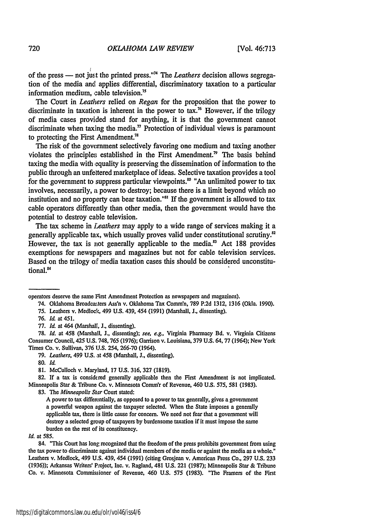of the press - not just the printed press."'74 The *Leathers* decision allows segregation of the media and applies differential, discriminatory taxation to a particular information medium, cable television."

The Court in *Leathers* relied on *Regan* for the proposition that the power to discriminate in taxation is inherent in the power to tax.<sup>76</sup> However, if the trilogy of media cases provided stand for anything, it is that the government cannot discriminate when taxing the media." Protection of individual views is paramount to protecting the First Amendment.'

The risk of the government selectively favoring one medium and taxing another violates the principles established in the First Amendment." The basis behind taxing the media with equality is preserving the dissemination of information to the public through an unfettered marketplace of ideas. Selective taxation provides a tool for the government to suppress particular viewpoints.<sup>80</sup> "An unlimited power to tax involves, necessarily, a power to destroy; because there is a limit beyond which no institution and no property can bear taxation."<sup>31</sup> If the government is allowed to tax cable operators differently than other media, then the government would have the potential to destroy cable television.

The tax scheme in *Leathers* may apply to a wide range of services making it a generally applicable tax, which usually proves valid under constitutional scrutiny.<sup>82</sup> However, the tax is not generally applicable to the media.<sup>33</sup> Act 188 provides exemptions for newspapers and magazines but not for cable television services. Based on the trilogy of media taxation cases this should be considered unconstitutional.<sup>84</sup>

74. Oklahoma Broadcaters Ass'n v. Oklahoma Tax Comm'n, 789 P.2d 1312, 1316 (Okla. 1990). 75. Leathers v. Medloek, 499 U.S. 439, 454 (1991) (Marshall, J., dissenting).

78. *Id.* at 458 (Marshall, **J.,** dissenting); see, e.g., Virginia Pharmacy Bd. v. Virginia Citizens Consumer Council, 425 U.S. 748,765 (1976); Garrison v. Louisiana, 379 **U.S.** 64,77 (1964); New York Times Co. v. Sullivan, 376 **U.S.** 254, 266-70 (1964).

**82.** If a tax is considered generally applicable then the First Amendment is not implicated. Minneapolis Star **&** Tribune Co. v. Minnesota Commn'r of Revenue, 460 **U.S.** 575, 581 **(1983).**

83. The *Minneapolis Star* Court stated:

A power to tax diffemntially, as opposed to a power to tax generally, gives a government a powerful weapon against the taxpayer selected. When the State imposes a generally applicable tax, there is little cause for concern. We need not fear that a government will destroy a selected group of taxpayers by burdensome taxation if it must impose the same burden on the rest of its constituency.

*Id.* at **585.**

84. "This Court has long recognized that the freedom of the press prohibits government from using the tax power to discriminate against individual members of the media or against the media as a whole." Leathers v. Medlock, 499 U.S. 439, 454 (1991) (citing Grosjean v. American Press Co., 297 U.S. 233 (1936)); Arkansas Writers' Project, Inc. v. Ragland, 481 U.S. 221 (1987); Minneapolis Star & Tribune Co. v. Minnesota Commissioner of Revenue, 460 U.S. 575 (1983). "The Framers of the First

operators deserve the same First Amendment Protection as newspapers and magazines).

<sup>76.</sup> *Id.* at *451.*

<sup>77.</sup> *Id.* at 464 (Marshall, J., dissenting).

<sup>79.</sup> *Leathers,* 499 U.S. at 458 (Marshall, **J.,** dissenting).

**<sup>80.</sup>** *Id.*

<sup>81.</sup> MeCulloch v. Maryland, 17 U.S. 316, 327 (1819).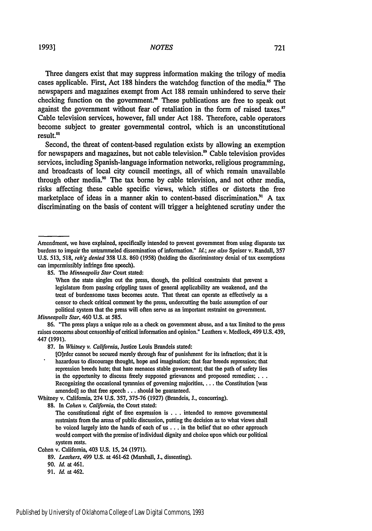Three dangers exist that may suppress information making the trilogy of media cases applicable. First, Act 188 hinders the watchdog function of the media.<sup>85</sup> The newspapers and magazines exempt from Act 188 remain unhindered to serve their checking function on the government.<sup>86</sup> These publications are free to speak out against the government without fear of retaliation in the form of raised taxes.<sup>87</sup> Cable television services, however, fall under Act 188. Therefore, cable operators become subject to greater governmental control, which is an unconstitutional result.<sup>88</sup>

Second, the threat of content-based regulation exists by allowing an exemption for newspapers and magazines, but not cable television.<sup>89</sup> Cable television provides services, including Spanish-language information networks, religious programming, and broadcasts of local city council meetings, all of which remain unavailable through other media.<sup>90</sup> The tax borne by cable television, and not other media, risks affecting these cable specific views, which stifles or distorts the free marketplace of ideas in a manner akin to content-based discrimination.<sup>91</sup> A tax discriminating on the basis of content will trigger a heightened scrutiny under the

85. The *Minneapolis Star* Court stated:

When the state singles out the press, though, the political constraints that prevent a legislature from passing crippling taxes of general applicability are weakened, and the treat of burdensome taxes becomes acute. That threat can operate as effectively as a censor to check critical comment by the press, undercutting the basic assumption of our political system that the press will often serve as an important restraint on government. *Minneapolis Star,* 460 U.S. at 585.

86. "The press plays a unique role as a check on government abuse, and a tax limited to the press raises concerns about censorship of critical information and opinion." Leathers v. Medlock, 499 U.S. 439, 447 (1991).

87. In *Whitney v. California,* Justice Louis Brandeis stated:

[O)rder cannot be secured merely through fear of punishment for its infraction; that it is hazardous to discourage thought, hope and imagination; that fear breeds repression; that repression breeds hate; that hate menaces stable government; that the path of safety lies in the opportunity to discuss freely supposed grievances and proposed remedies; ... Recognizing the occasional tyrannies of governing majorities, . . . the Constitution [was amended] so that free speech **...** should be guaranteed.

Whitney v. California, 274 **U.S.** 357, 375-76 (1927) (Brandeis, J., concurring).

88. In *Cohen v. California,* the Court stated:

Amendment, we have explained, specifically intended to prevent government from using disparate tax burdens to impair the untrammeled dissemination of information." *Id.; see also* Speiser v. Randall, 357 U.S. 513, 518, *reh'g denied* **358** U.S. 860 (1958) (holding the discriminatory denial of tax exemptions can impermissibly infringe free speech).

The constitutional right of free expression is . . . intended to remove governmental restraints from the arena of public discussion, putting the decision as to what views shall be voiced largely into the hands of each of us ... in the belief that no other approach would comport with the premise of individual dignity and choice upon which our political system rests.

Cohen v. California, 403 **U.S.** 15, 24 (1971).

<sup>89.</sup> *Leathers,* 499 **U.S.** at 461-62 (Marshall, J., dissenting).

<sup>90.</sup> *Id.* at 461.

*<sup>91.</sup> Id.* at 462.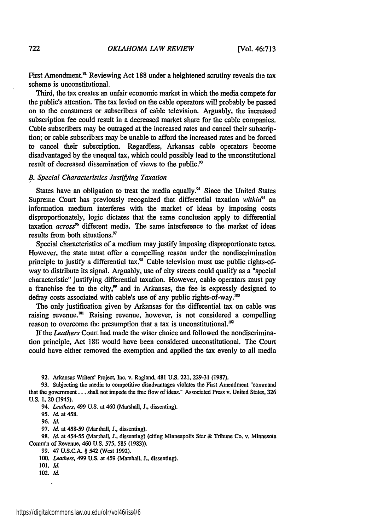First Amendment.<sup>92</sup> Reviewing Act 188 under a heightened scrutiny reveals the tax scheme is unconstitutional.

Third, the tax creates an unfair economic market in which the media compete for the public's attention. The tax levied on the cable operators will probably be passed on to the consumers or subscribers of cable television. Arguably, the increased subscription fee could result in a decreased market share for the cable companies. Cable subscribers may be outraged at the increased rates and cancel their subscription; or cable subscribers may be unable to afford the increased rates and be forced to cancel their subscription. Regardless, Arkansas cable operators become disadvantaged by the unequal tax, which could possibly lead to the unconstitutional result of decreased dissemination of views to the public.<sup>93</sup>

#### *B. Special Characteristics Justifying Taxation*

States have an obligation to treat the media equally.<sup> $\alpha$ </sup> Since the United States Supreme Court has previously recognized that differential taxation *within*<sup>95</sup> an information medium interferes with the market of ideas by imposing costs disproportionately, logic dictates that the same conclusion apply to differential taxation *across"* different media. The same interference to the market of ideas results from both situations."

Special characteristics of a medium may justify imposing disproportionate taxes. However, the state must offer a compelling reason under the nondiscrimination principle to justify a differential tax.<sup>98</sup> Cable television must use public rights-ofway to distribute its signal. Arguably, use of city streets could qualify as a "special characteristic" justifying differential taxation. However, cable operators must pay a franchise fee to the city, $\frac{3}{2}$  and in Arkansas, the fee is expressly designed to defray costs associated with cable's use of any public rights-of-way.<sup>100</sup>

The only justification given by Arkansas for the differential tax on cable was raising revenue.<sup>101</sup> Raising revenue, however, is not considered a compelling reason to overcome the presumption that a tax is unconstitutional.'

If the *Leathers* Court had made the wiser choice and followed the nondiscrimination principle, Act 188 would have been considered unconstitutional. The Court could have either removed the exemption and applied the tax evenly to all media

92. Arkansas Writers' Project, Inc. v. Ragland, 481 U.S. 221, 229-31 (1987).

93. Subjecting the media to competitive disadvantages violates the First Amendment "command that the government.., shall not impede the free flow of ideas." Associated Press v. United States, 326 U.S. 1, 20 (1945).

94. Leathers, 499 **U.S.** at 460 (Marshall, **J.,** dissenting).

97. *Id.* at 458-59 (Marshall, **J.,** dissenting).

98. **Id.** at 454-55 (Marshall, **J.,** dissenting) (citing Minneapolis Star & Tribune Co. v. Minnesota Comm'n of Revenue, 460 U.S. 575, 585 (1983)).

99. 47 U.S.C.A. § 542 (West 1992).

*100.* Leathers, 499 U.S. at 459 (Marshall, **J.,** dissenting).

102. *Id*  $\overline{a}$ 

*<sup>95.</sup>* **Id.** at 458.

<sup>96.</sup> *IL*

**<sup>101.</sup>** *Id.*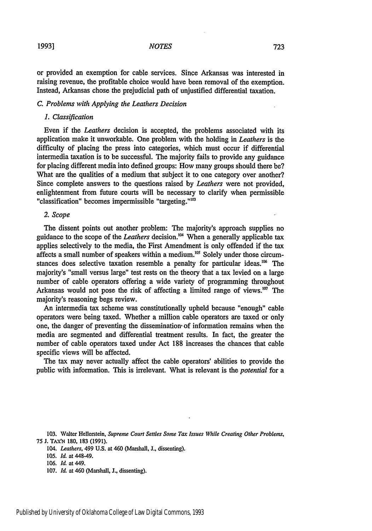or provided an exemption for cable services. Since Arkansas was interested in raising revenue, the profitable choice would have been removal of the exemption. Instead, Arkansas chose the prejudicial path of unjustified differential taxation.

#### *C. Problems with Applying the Leathers Decision*

#### *1. Classification*

Even if the *Leathers* decision is accepted, the problems associated with its application make it unworkable. One problem with the holding in *Leathers* is the difficulty of placing the press into categories, which must occur if differential intermedia taxation is to be successful. The majority fails to provide any guidance for placing different media into defined groups: How many groups should there be? What are the qualities of a medium that subject it to one category over another? Since complete answers to the questions raised by *Leathers* were not provided, enlightenment from future courts will be necessary to clarify when permissible "classification" becomes impermissible "targeting."<sup>103</sup>

#### *2. Scope*

The dissent points out another problem: The majority's approach supplies no guidance to the scope of the *Leathers* decision." When a generally applicable tax applies selectively to the media, the First Amendment is only offended if the tax affects a small number of speakers within a medium.<sup>105</sup> Solely under those circumstances does selective taxation resemble a penalty for particular ideas.<sup>106</sup> The majority's "small versus large" test rests on the theory that a tax levied on a large number of cable operators offering a wide variety of programming throughout Arkansas would not pose the risk of affecting a limited range of views.<sup>107</sup> The majority's reasoning begs review.

An intermedia tax scheme was constitutionally upheld because "enough" cable operators were being taxed. Whether a million cable operators are taxed or only one, the danger of preventing the dissemination- of information remains when the media are segmented and differential treatment results. In fact, the greater the number of cable operators taxed under Act 188 increases the chances that cable specific views will be affected.

The tax may never actually affect the cable operators' abilities to provide the public with information. This is irrelevant. What is relevant is the *potential* for a

103. Walter Hellerstein, *Supreme Court Settles Some Tax Issues While Creating Other Problems,* 75 J. TAX'N 180, 183 (1991).

*104. Leathers,* 499 U.S. at 460 (Marshall, J., dissenting).

105. *Id.* at 448-49.

106. Id. at 449.

107. *Id.* at 460 (Marshall, J., dissenting).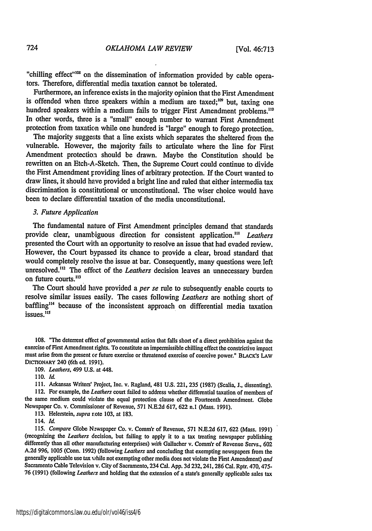"chilling effect"<sup>108</sup> on the dissemination of information provided by cable operators. Therefore, differential media taxation cannot be tolerated.

Furthermore, an inference exists in the majority opinion that the First Amendment is offended when three speakers within a medium are taxed;<sup>109</sup> but, taxing one hundred speakers within a medium fails to trigger First Amendment problems.<sup>110</sup> In other words, three is a "small" enough number to warrant First Amendment protection from taxation while one hundred is "large" enough to forego protection.

The majority suggests that a line exists which separates the sheltered from the vulnerable. However, the majority fails to articulate where the line for First Amendment protectioa should be drawn. Maybe the Constitution should be rewritten on an Etch-A-Sketch. Then, the Supreme Court could continue to divide the First Amendment providing lines of arbitrary protection. If the Court wanted to draw lines, it should have provided a bright line and ruled that either intermedia tax discrimination is constitutional or unconstitutional. The wiser choice would have been to declare differential taxation of the media unconstitutional.

#### *3. Future Application*

The fundamental nature of First Amendment principles demand that standards provide clear, unambiguous direction for consistent application.<sup>111</sup> Leathers presented the Court with an opportunity to resolve an issue that had evaded review. However, the Court bypassed its chance to provide a clear, broad standard that would completely resolve the issue at bar. Consequently, many questions were left unresolved."' The effect of the *Leathers* decision leaves an unnecessary burden on future courts.<sup>113</sup>

The Court should have provided a *per se* rule to subsequently enable courts to resolve similar issues easily. The cases following *Leathers* are nothing short of baffling"" because of the inconsistent approach on differential media taxation unum<sub>b</sub><br>issues.<sup>115</sup>

108. "The deterrent effect of governmental action that falls short of a direct prohibition against the exercise of First Amendment rights. To constitute an impermissible chilling effect the constrictive impact must arise from the present **or** future exercise or threatened exercise of coercive power." **BLACK's LAW DICrIONARY** 240 (6th ed. 1991).

*109. Leathers,* 499 **U.S.** at 448.

111. Arkansas Writers' Project, Inc. v. Ragland, 481 **U.S.** 221, **235** (1987) (Scalia, J., dissenting). 112. For example, the *Leathers* court failed to address whether differential taxation of members of the same medium could violate the equal protection clause of the Fourteenth Amendment. Globe Newspaper Co. v. Commissioner of Revenue, 571 N.E.2d 617, 622 n.1 (Mass. 1991).

113. Helerstein, *supra* note 103, at 183.

114. *Id.*

115. *Compare* Globe N.wspaper Co. v. Comm'r of Revenue, 571 N.E.2d 617, 622 (Mass. 1991) (recognizing the *Leathers* decision, but failing to apply it to a tax treating newspaper publishing differently than all other manufacturing enterprises) *with* Galacher v. Comm'r of Revenue Servs., 602 A.2d 996, 1005 (Conn. 1992) (following *Leathers* and concluding that exempting newspapers from the generally applicable use tax while not exempting other media does not violate the First Amendment) *and* Sacramento Cable Television v. City of Sacramento, 234 Cal. App. 3d 232, 241, 286 Cal. Rptr. 470, 475-**76** (1991) (following *Leathers* and holding that the extension of a state's generally applicable sales tax

**<sup>110.</sup>** *Id.*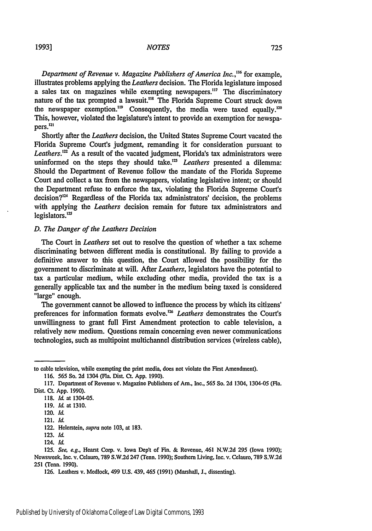*Department of Revenue v. Magazine Publishers of America Inc.,.16* for example, illustrates problems applying the *Leathers* decision. The Florida legislature imposed a sales tax on magazines while exempting newspapers."" The discriminatory nature of the tax prompted a lawsuit.<sup>118</sup> The Florida Supreme Court struck down the newspaper exemption.<sup>119</sup> Consequently, the media were taxed equally.<sup>120</sup> This, however, violated the legislature's intent to provide an exemption for newspapers.<sup>121</sup>

Shortly after the *Leathers* decision, the United States Supreme Court vacated the Florida Supreme Court's judgment, remanding it for consideration pursuant to Leathers.<sup>122</sup> As a result of the vacated judgment, Florida's tax administrators were uninformed on the steps they should take.<sup>123</sup> *Leathers* presented a dilemma: Should the Department of Revenue follow the mandate of the Florida Supreme Court and collect a tax from the newspapers, violating legislative intent; or should the Department refuse to enforce the tax, violating the Florida Supreme Court's decision?" Regardless of the Florida tax administrators' decision, the problems with applying the *Leathers* decision remain for future tax administrators and legislators.<sup>125</sup>

#### *D. The Danger of the Leathers Decision*

The Court in *Leathers* set out to resolve the question of whether a tax scheme discriminating between different media is constitutional. By failing to provide a definitive answer to this question, the Court allowed the possibility for the government to discriminate at will. After *Leathers,* legislators have the potential to tax a particular medium, while excluding other media, provided the tax is a generally applicable tax and the number in the medium being taxed is considered "large" enough.

The government cannot be allowed to influence the process by which its citizens' preferences for information formats evolve.<sup>126</sup> Leathers demonstrates the Court's unwillingness to grant full First Amendment protection to cable television, a relatively new medium. Questions remain concerning even newer communications technologies, such as multipoint multichannel distribution services (wireless cable),

to cable television, while exempting the print media, does not violate the First Amendment).

<sup>116. 565</sup> So. **2d** 1304 (Fla. Dist. Ct. **App.** 1990).

<sup>117.</sup> Department of Revenue v. Magazine Publishers of Am., Inc., 565 So. 2d 1304, 1304-05 (Fla. Dist. Ct. App. 1990).

<sup>118.</sup> *Id.* at 1304-05.

<sup>119.</sup> *Id.* at 1310.

<sup>120.</sup> *Id.*

<sup>121.</sup> *Id.*

<sup>122.</sup> Helerstein, supra note 103, at 183.

<sup>123.</sup> Id.

<sup>124.</sup> Id.

<sup>125.</sup> *See, e.g.,* Hearst Corp. v. Iowa Dept of Fin. & Revenue, 461 N.W.2d 295 (Iowa 1990); Newsweek, Inc. v. Celauro, 789 S.W.2d 247 (Tenn. 1990); Southern Living, Inc. v. Celauro, 789 S.W.2d **251** (Tenn. 1990).

<sup>126.</sup> Leathers v. Medlock, 499 U.S. 439, 465 (1991) (Marshall, J., dissenting).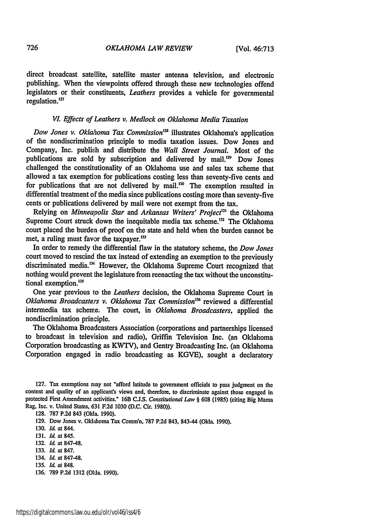direct broadcast satellite, satellite master antenna television, and electronic publishing. When the viewpoints offered through these new technologies offend legislators or their constituents, *Leathers* provides a vehicle for governmental regulation.<sup>127</sup>

#### *VI. Effects of Leathers v. Medlock on Oklahoma Media Taxation*

*Dow Jones v. Oklahoma Tax Commission"* illustrates Oklahoma's application of the nondiscrimination principle to media taxation issues. Dow Jones and Company, Inc. publish and distribute the *Wall Street Journal.* Most of the publications are sold by subscription and delivered by mail. $12^{\circ}$  Dow Jones challenged the constitutionality of an Oklahoma use and sales tax scheme that allowed a tax exemption for publications costing less than seventy-five cents and for publications that are not delivered by mail.<sup>130</sup> The exemption resulted in differential treatment of the media since publications costing more than seventy-five cents or publications delivered by mail were not exempt from the tax.

Relving on *Minneapolis Star and Arkansas Writers' Project<sup>131</sup>* the Oklahoma Supreme Court struck down the inequitable media tax scheme.<sup>132</sup> The Oklahoma court placed the burden of proof on the state and held when the burden cannot be met, a ruling must favor the taxpayer.<sup>133</sup>

In order to remedy the differential flaw in the statutory scheme, the *Dow Jones* court moved to rescind the tax instead of extending an exemption to the previously discriminated media.<sup>134</sup> However, the Oklahoma Supreme Court recognized that nothing would prevent the legislature from reenacting the tax without the unconstitutional exemption.<sup>135</sup>

One year previous to the *Leathers* decision, the Oklahoma Supreme Court in *Oklahoma Broadcasters v. Oklahoma Tax Commission*<sup>136</sup> reviewed a differential intermedia tax scheme. The court, in *Oklahoma Broadcasters,* applied the nondiscrimination principle.

The Oklahoma Broadcasters Association (corporations and partnerships licensed to broadcast in television and radio), Griffin Television Inc. (an Oklahoma Corporation broadcasting as KWTV), and Gentry Broadcasting Inc. (an Oklahoma Corporation engaged in radio broadcasting as KGVE), sought a declaratory

**128.** 787 P.2d 843 (Okla. 1990).

129. Dow Jones v. Oklahoma Tax Comm'n, **787** P.2d 843, 843-44 (Okla. 1990).

130. *Id.* at 844.

131. *Id* at 845.

- 132. *Id.* at 847-48.
- 133. *Id* at 847.
- 134. *Id.* at 847-48.
- 135. *Id.* at 848.
- 136. 789 P.2d 1312 (Okla. 1990).

<sup>127.</sup> Tax exemptions may not "afford latitude to government officials to pass judgment on the content and quality of an applicant's views and, therefore, to discriminate against those engaged in protected First Amendment activities." 16B CJ.S. Consitutional *Law §* **608** (1985) (citing Big Mama Rag, Inc. v. United States, 631 F.2d 1030 (D.C. Cir. 1980)).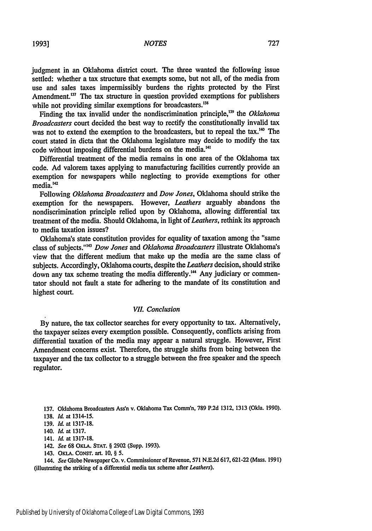judgment in an Oklahoma district court. The three wanted the following issue settled: whether a tax structure that exempts some, but not all, of the media from use and sales taxes impermissibly burdens the rights protected **by** the First Amendment.<sup>137</sup> The tax structure in question provided exemptions for publishers while not providing similar exemptions for broadcasters.<sup>138</sup>

Finding the tax invalid under the nondiscrimination principle,<sup>139</sup> the *Oklahoma Broadcasters* court decided the best way to rectify the constitutionally invalid tax was not to extend the exemption to the broadcasters, but to repeal the tax.<sup>140</sup> The court stated in dicta that the Oklahoma legislature may decide to modify the tax code without imposing differential burdens on the media.<sup>141</sup>

Differential treatment of the media remains in one area of the Oklahoma tax code. **Ad** valorem taxes applying to manufacturing facilities currently provide an exemption for newspapers while neglecting to provide exemptions for other media.<sup>142</sup>

Following *Oklahoma Broadcasters and Dow Jones,* Oklahoma should strike the exemption for the newspapers. However, *Leathers* arguably abandons the nondiscrimination principle relied upon **by** Oklahoma, allowing differential tax treatment of the media. Should Oklahoma, in light of *Leathers,* rethink its approach to media taxation issues?

Oklahoma's state constitution provides for equality of taxation among the "same class of subjects."'43 *Dow Jones* and *Oklahoma Broadcasters* illustrate Oklahoma's view that the different medium that make up the media are the same class of subjects. Accordingly, Oklahoma courts, despite the *Leathers* decision, should strike down any tax scheme treating the media differently.<sup>144</sup> Any judiciary or commentator should not fault a state for adhering to the mandate of its constitution and highest court.

#### *VII. Conclusion*

**By** nature, the tax collector searches for every opportunity to tax. Alternatively, the taxpayer seizes every exemption possible. Consequently, conflicts arising from differential taxation of the media may appear a natural struggle. However, First Amendment concerns exist. Therefore, the struggle shifts from being between the taxpayer and the tax collector to a struggle between the free speaker and the speech regulator.

**137.** Oklahoma Broadcasters Ass'n v. Oklahoma Tax **Comm'n, 789 P.2d 1312, 1313** (Okla. **1990).**

- 142. *See* **68** OKLA. **STAT.** § **2902** (Supp. **1993).**
- 143. OKLA. CONST. art. 10, § 5.

144. *See* Globe Newspaper Co. v. Commissioner of Revenue, **571 N.E.2d 617,621-22** (Mass. **1991)** (illustrating the striking of a differential media tax scheme after *Leathers).*

**<sup>138.</sup>** *Id.* at 1314-15.

**<sup>139.</sup>** *Id.* at **1317-18.**

<sup>140.</sup> *Id.* at **1317.**

<sup>141.</sup> *Id.* at **1317-18.**